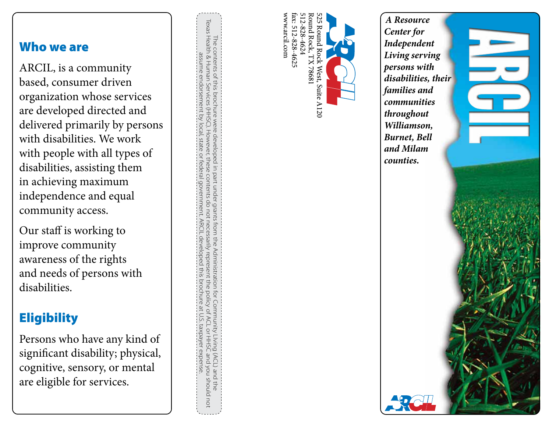#### Who we are

ARCIL, is a community based, consumer driven organization whose services are developed directed and delivered primarily by persons with disabilities. We work with people with all types of disabilities, assisting them in achieving maximum independence and equal community access.

Our staff is working to improve community awareness of the rights and needs of persons with disabilities.

## **Eligibility**

Persons who have any kind of significant disability; physical, cognitive, sensory, or mental are eligible for services.

Texas Health & Human Services (HHSC). However, these contents do not necessarily represent the policy of ACL or HHSC and you should not The contents of this brochure were developed in part under grants from the Administration for Community Living (ACL) and the<br>Texas Health & Human Services (HHSC). However, these contents do not necessarily represent the po The contents of this brochure were developed in part under grants from the Administration for Community LIving (ACL) and the assume endorsement by local, state or federal government. assume endorsement by local, state or federal government. ARCIL developed this brochure at U.S. taxpayer expense. **ARCI** devel. pado this proc pune taxpayer expense



*A Resource Center for Independent Living serving persons with disabilities, their families and communities throughout Williamson, Burnet, Bell and Milam counties.*